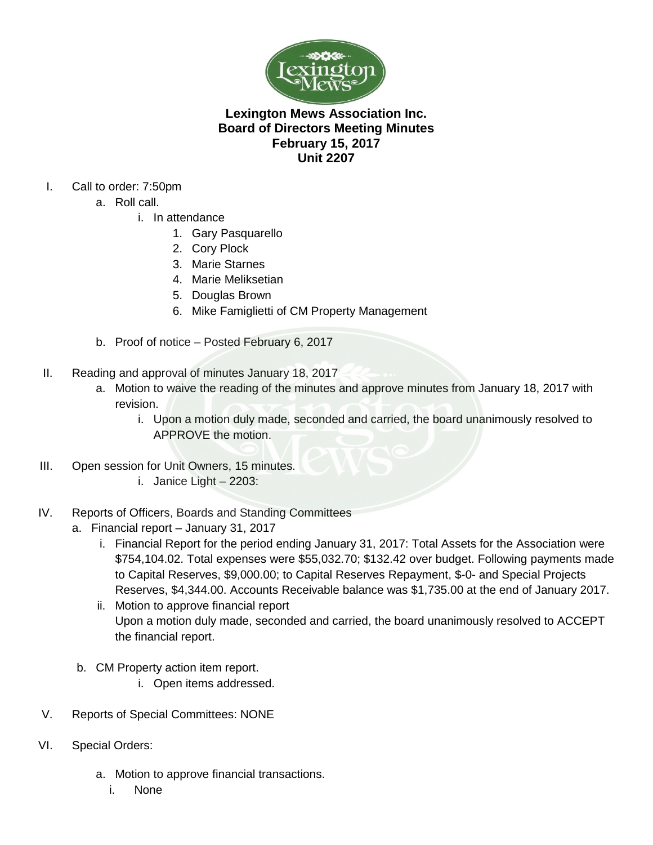

# **Lexington Mews Association Inc. Board of Directors Meeting Minutes February 15, 2017 Unit 2207**

- I. Call to order: 7:50pm
	- a. Roll call.
		- i. In attendance
			- 1. Gary Pasquarello
			- 2. Cory Plock
			- 3. Marie Starnes
			- 4. Marie Meliksetian
			- 5. Douglas Brown
			- 6. Mike Famiglietti of CM Property Management
	- b. Proof of notice Posted February 6, 2017
- II. Reading and approval of minutes January 18, 2017
	- a. Motion to waive the reading of the minutes and approve minutes from January 18, 2017 with revision.
		- i. Upon a motion duly made, seconded and carried, the board unanimously resolved to APPROVE the motion.
- III. Open session for Unit Owners, 15 minutes.
	- i. Janice Light 2203:
- IV. Reports of Officers, Boards and Standing Committees
	- a. Financial report January 31, 2017
		- i. Financial Report for the period ending January 31, 2017: Total Assets for the Association were \$754,104.02. Total expenses were \$55,032.70; \$132.42 over budget. Following payments made to Capital Reserves, \$9,000.00; to Capital Reserves Repayment, \$-0- and Special Projects Reserves, \$4,344.00. Accounts Receivable balance was \$1,735.00 at the end of January 2017.
		- ii. Motion to approve financial report Upon a motion duly made, seconded and carried, the board unanimously resolved to ACCEPT the financial report.
	- b. CM Property action item report.
		- i. Open items addressed.
- V. Reports of Special Committees: NONE
- VI. Special Orders:
	- a. Motion to approve financial transactions.
		- i. None